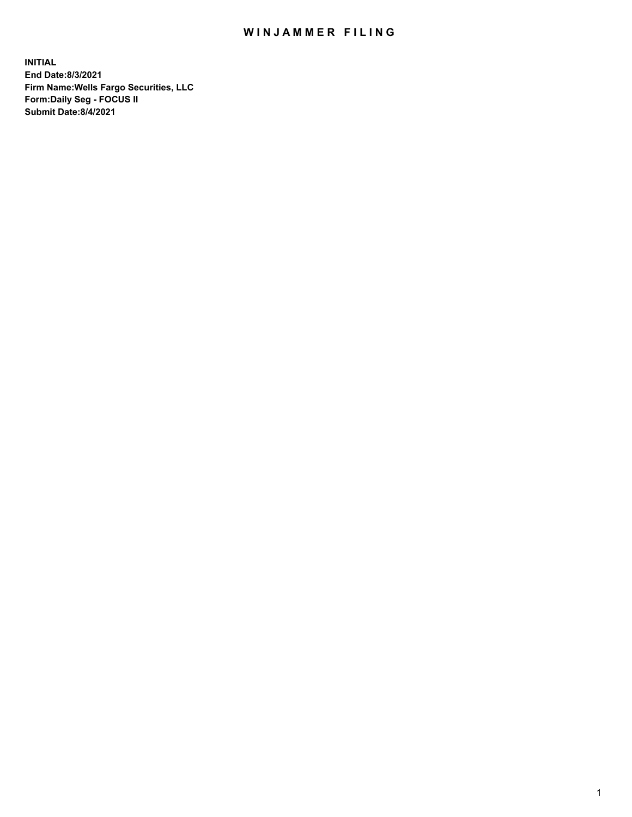## WIN JAMMER FILING

**INITIAL End Date:8/3/2021 Firm Name:Wells Fargo Securities, LLC Form:Daily Seg - FOCUS II Submit Date:8/4/2021**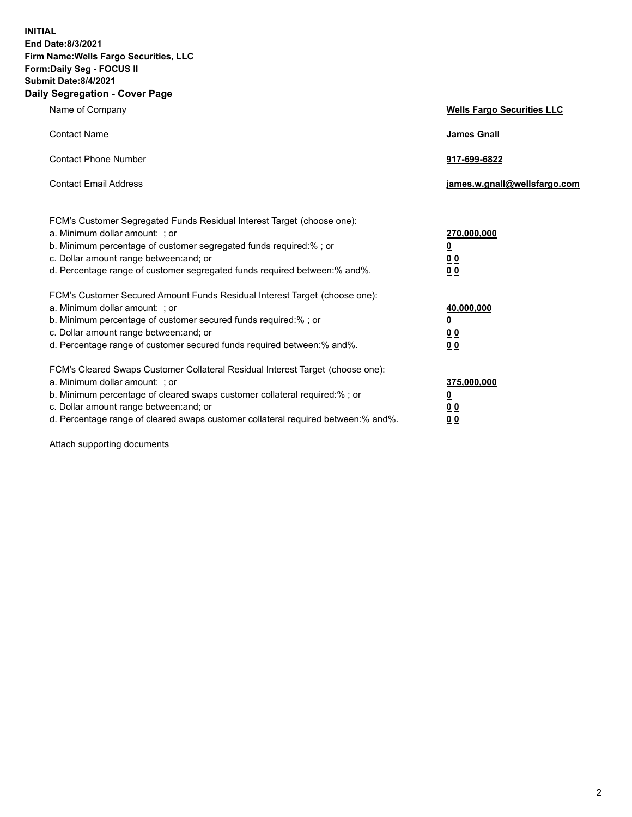**INITIAL End Date:8/3/2021 Firm Name:Wells Fargo Securities, LLC Form:Daily Seg - FOCUS II Submit Date:8/4/2021 Daily Segregation - Cover Page**

| Name of Company                                                                                                                                                                                                                                                                                                                | <b>Wells Fargo Securities LLC</b>                                         |
|--------------------------------------------------------------------------------------------------------------------------------------------------------------------------------------------------------------------------------------------------------------------------------------------------------------------------------|---------------------------------------------------------------------------|
| <b>Contact Name</b>                                                                                                                                                                                                                                                                                                            | <b>James Gnall</b>                                                        |
| <b>Contact Phone Number</b>                                                                                                                                                                                                                                                                                                    | 917-699-6822                                                              |
| <b>Contact Email Address</b>                                                                                                                                                                                                                                                                                                   | james.w.gnall@wellsfargo.com                                              |
| FCM's Customer Segregated Funds Residual Interest Target (choose one):<br>a. Minimum dollar amount: ; or<br>b. Minimum percentage of customer segregated funds required:% ; or<br>c. Dollar amount range between: and; or<br>d. Percentage range of customer segregated funds required between:% and%.                         | 270,000,000<br>$\overline{\mathbf{0}}$<br>0 <sub>0</sub><br>00            |
| FCM's Customer Secured Amount Funds Residual Interest Target (choose one):<br>a. Minimum dollar amount: ; or<br>b. Minimum percentage of customer secured funds required:%; or<br>c. Dollar amount range between: and; or<br>d. Percentage range of customer secured funds required between:% and%.                            | 40,000,000<br>$\overline{\mathbf{0}}$<br>0 <sub>0</sub><br>0 <sub>0</sub> |
| FCM's Cleared Swaps Customer Collateral Residual Interest Target (choose one):<br>a. Minimum dollar amount: ; or<br>b. Minimum percentage of cleared swaps customer collateral required:% ; or<br>c. Dollar amount range between: and; or<br>d. Percentage range of cleared swaps customer collateral required between:% and%. | 375,000,000<br><u>0</u><br>00<br>00                                       |

Attach supporting documents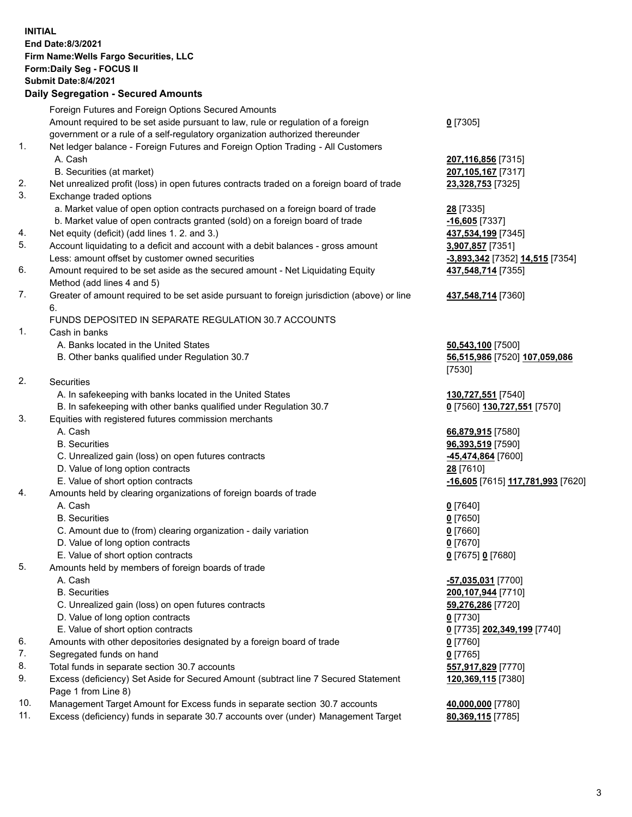**INITIAL End Date:8/3/2021 Firm Name:Wells Fargo Securities, LLC Form:Daily Seg - FOCUS II Submit Date:8/4/2021 Daily Segregation - Secured Amounts** Foreign Futures and Foreign Options Secured Amounts Amount required to be set aside pursuant to law, rule or regulation of a foreign government or a rule of a self-regulatory organization authorized thereunder 1. Net ledger balance - Foreign Futures and Foreign Option Trading - All Customers A. Cash **207,116,856** [7315] B. Securities (at market) **207,105,167** [7317] 2. Net unrealized profit (loss) in open futures contracts traded on a foreign board of trade **23,328,753** [7325] 3. Exchange traded options a. Market value of open option contracts purchased on a foreign board of trade **28** [7335] b. Market value of open contracts granted (sold) on a foreign board of trade **-16,605** [7337]

- 4. Net equity (deficit) (add lines 1. 2. and 3.) **437,534,199** [7345]
- 5. Account liquidating to a deficit and account with a debit balances gross amount **3,907,857** [7351] Less: amount offset by customer owned securities **-3,893,342** [7352] **14,515** [7354]
- 6. Amount required to be set aside as the secured amount Net Liquidating Equity Method (add lines 4 and 5)
- 7. Greater of amount required to be set aside pursuant to foreign jurisdiction (above) or line 6.

## FUNDS DEPOSITED IN SEPARATE REGULATION 30.7 ACCOUNTS

1. Cash in banks

- A. Banks located in the United States **50,543,100** [7500]
- B. Other banks qualified under Regulation 30.7 **56,515,986** [7520] **107,059,086**
- 2. Securities
	- A. In safekeeping with banks located in the United States **130,727,551** [7540]
- B. In safekeeping with other banks qualified under Regulation 30.7 **0** [7560] **130,727,551** [7570]
- 3. Equities with registered futures commission merchants
	-
	-
	- C. Unrealized gain (loss) on open futures contracts **-45,474,864** [7600]
	- D. Value of long option contracts **28** [7610]
	-
- 4. Amounts held by clearing organizations of foreign boards of trade

## A. Cash **0** [7640]

- B. Securities **0** [7650]
- C. Amount due to (from) clearing organization daily variation **0** [7660]
- D. Value of long option contracts **0** [7670]
- E. Value of short option contracts **0** [7675] **0** [7680]
- 5. Amounts held by members of foreign boards of trade
	-
	-
	- C. Unrealized gain (loss) on open futures contracts **59,276,286** [7720]
	- D. Value of long option contracts **0** [7730]
	- E. Value of short option contracts **0** [7735] **202,349,199** [7740]
- 6. Amounts with other depositories designated by a foreign board of trade **0** [7760]
- 7. Segregated funds on hand **0** [7765]
- 8. Total funds in separate section 30.7 accounts **557,917,829** [7770]
- 9. Excess (deficiency) Set Aside for Secured Amount (subtract line 7 Secured Statement Page 1 from Line 8)
- 10. Management Target Amount for Excess funds in separate section 30.7 accounts **40,000,000** [7780]
- 11. Excess (deficiency) funds in separate 30.7 accounts over (under) Management Target **80,369,115** [7785]

**0** [7305]

**437,548,714** [7355]

## **437,548,714** [7360]

[7530]

 A. Cash **66,879,915** [7580] B. Securities **96,393,519** [7590] E. Value of short option contracts **-16,605** [7615] **117,781,993** [7620]

 A. Cash **-57,035,031** [7700] B. Securities **200,107,944** [7710] **120,369,115** [7380]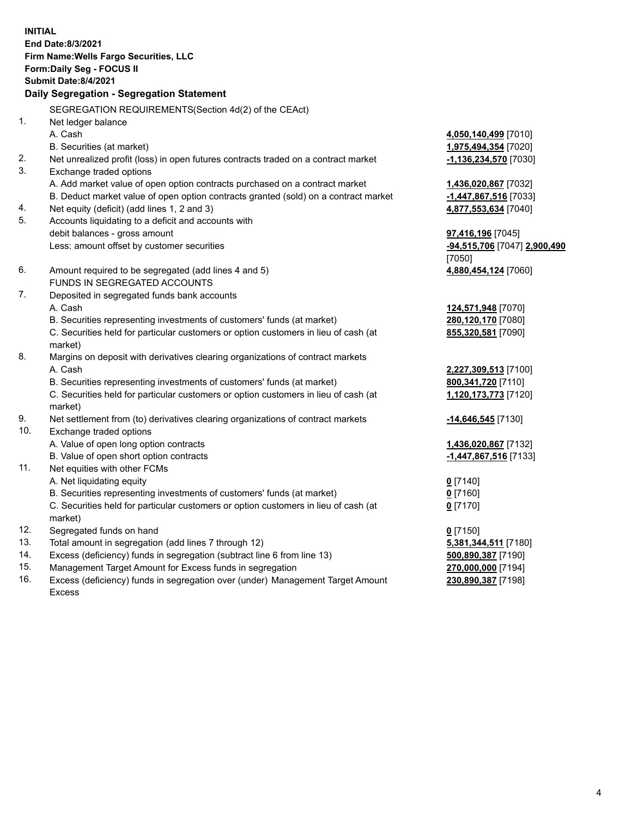**INITIAL End Date:8/3/2021 Firm Name:Wells Fargo Securities, LLC Form:Daily Seg - FOCUS II Submit Date:8/4/2021 Daily Segregation - Segregation Statement** SEGREGATION REQUIREMENTS(Section 4d(2) of the CEAct) 1. Net ledger balance A. Cash **4,050,140,499** [7010] B. Securities (at market) **1,975,494,354** [7020] 2. Net unrealized profit (loss) in open futures contracts traded on a contract market **-1,136,234,570** [7030] 3. Exchange traded options A. Add market value of open option contracts purchased on a contract market **1,436,020,867** [7032] B. Deduct market value of open option contracts granted (sold) on a contract market **-1,447,867,516** [7033] 4. Net equity (deficit) (add lines 1, 2 and 3) **4,877,553,634** [7040] 5. Accounts liquidating to a deficit and accounts with debit balances - gross amount **97,416,196** [7045] Less: amount offset by customer securities **-94,515,706** [7047] **2,900,490** [7050] 6. Amount required to be segregated (add lines 4 and 5) **4,880,454,124** [7060] FUNDS IN SEGREGATED ACCOUNTS 7. Deposited in segregated funds bank accounts A. Cash **124,571,948** [7070] B. Securities representing investments of customers' funds (at market) **280,120,170** [7080] C. Securities held for particular customers or option customers in lieu of cash (at market) **855,320,581** [7090] 8. Margins on deposit with derivatives clearing organizations of contract markets A. Cash **2,227,309,513** [7100] B. Securities representing investments of customers' funds (at market) **800,341,720** [7110] C. Securities held for particular customers or option customers in lieu of cash (at market) **1,120,173,773** [7120] 9. Net settlement from (to) derivatives clearing organizations of contract markets **-14,646,545** [7130] 10. Exchange traded options A. Value of open long option contracts **1,436,020,867** [7132] B. Value of open short option contracts **-1,447,867,516** [7133] 11. Net equities with other FCMs A. Net liquidating equity **0** [7140] B. Securities representing investments of customers' funds (at market) **0** [7160] C. Securities held for particular customers or option customers in lieu of cash (at market) **0** [7170] 12. Segregated funds on hand **0** [7150] 13. Total amount in segregation (add lines 7 through 12) **5,381,344,511** [7180] 14. Excess (deficiency) funds in segregation (subtract line 6 from line 13) **500,890,387** [7190] 15. Management Target Amount for Excess funds in segregation **270,000,000** [7194] **230,890,387** [7198]

16. Excess (deficiency) funds in segregation over (under) Management Target Amount Excess